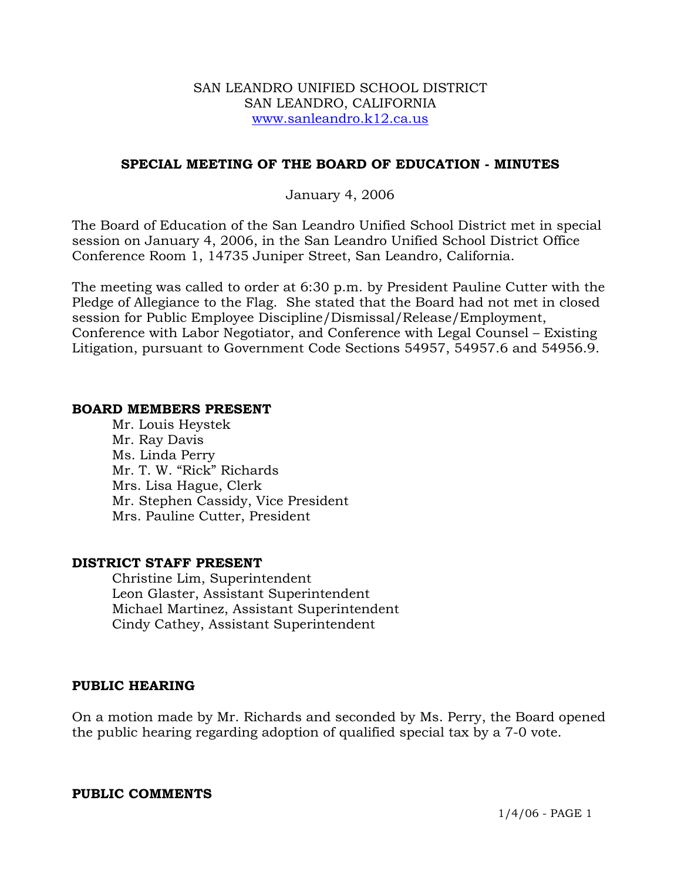### SAN LEANDRO UNIFIED SCHOOL DISTRICT SAN LEANDRO, CALIFORNIA www.sanleandro.k12.ca.us

## **SPECIAL MEETING OF THE BOARD OF EDUCATION - MINUTES**

## January 4, 2006

The Board of Education of the San Leandro Unified School District met in special session on January 4, 2006, in the San Leandro Unified School District Office Conference Room 1, 14735 Juniper Street, San Leandro, California.

The meeting was called to order at 6:30 p.m. by President Pauline Cutter with the Pledge of Allegiance to the Flag. She stated that the Board had not met in closed session for Public Employee Discipline/Dismissal/Release/Employment, Conference with Labor Negotiator, and Conference with Legal Counsel – Existing Litigation, pursuant to Government Code Sections 54957, 54957.6 and 54956.9.

### **BOARD MEMBERS PRESENT**

Mr. Louis Heystek Mr. Ray Davis Ms. Linda Perry Mr. T. W. "Rick" Richards Mrs. Lisa Hague, Clerk Mr. Stephen Cassidy, Vice President Mrs. Pauline Cutter, President

## **DISTRICT STAFF PRESENT**

Christine Lim, Superintendent Leon Glaster, Assistant Superintendent Michael Martinez, Assistant Superintendent Cindy Cathey, Assistant Superintendent

## **PUBLIC HEARING**

On a motion made by Mr. Richards and seconded by Ms. Perry, the Board opened the public hearing regarding adoption of qualified special tax by a 7-0 vote.

#### **PUBLIC COMMENTS**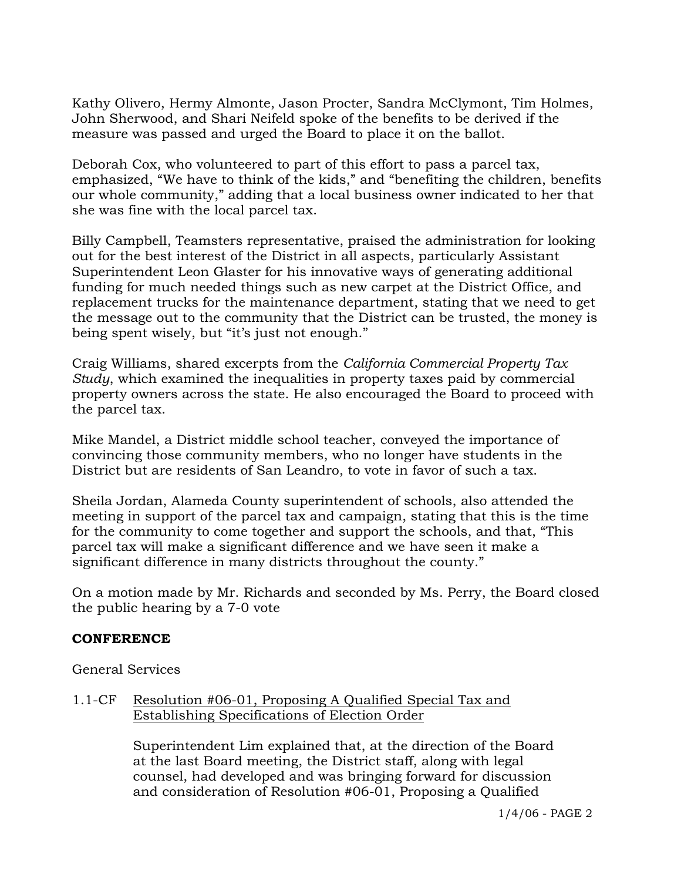Kathy Olivero, Hermy Almonte, Jason Procter, Sandra McClymont, Tim Holmes, John Sherwood, and Shari Neifeld spoke of the benefits to be derived if the measure was passed and urged the Board to place it on the ballot.

Deborah Cox, who volunteered to part of this effort to pass a parcel tax, emphasized, "We have to think of the kids," and "benefiting the children, benefits our whole community," adding that a local business owner indicated to her that she was fine with the local parcel tax.

Billy Campbell, Teamsters representative, praised the administration for looking out for the best interest of the District in all aspects, particularly Assistant Superintendent Leon Glaster for his innovative ways of generating additional funding for much needed things such as new carpet at the District Office, and replacement trucks for the maintenance department, stating that we need to get the message out to the community that the District can be trusted, the money is being spent wisely, but "it's just not enough."

Craig Williams, shared excerpts from the *California Commercial Property Tax Study*, which examined the inequalities in property taxes paid by commercial property owners across the state. He also encouraged the Board to proceed with the parcel tax.

Mike Mandel, a District middle school teacher, conveyed the importance of convincing those community members, who no longer have students in the District but are residents of San Leandro, to vote in favor of such a tax.

Sheila Jordan, Alameda County superintendent of schools, also attended the meeting in support of the parcel tax and campaign, stating that this is the time for the community to come together and support the schools, and that, "This parcel tax will make a significant difference and we have seen it make a significant difference in many districts throughout the county."

On a motion made by Mr. Richards and seconded by Ms. Perry, the Board closed the public hearing by a 7-0 vote

# **CONFERENCE**

General Services

# 1.1-CF Resolution #06-01, Proposing A Qualified Special Tax and Establishing Specifications of Election Order

Superintendent Lim explained that, at the direction of the Board at the last Board meeting, the District staff, along with legal counsel, had developed and was bringing forward for discussion and consideration of Resolution #06-01, Proposing a Qualified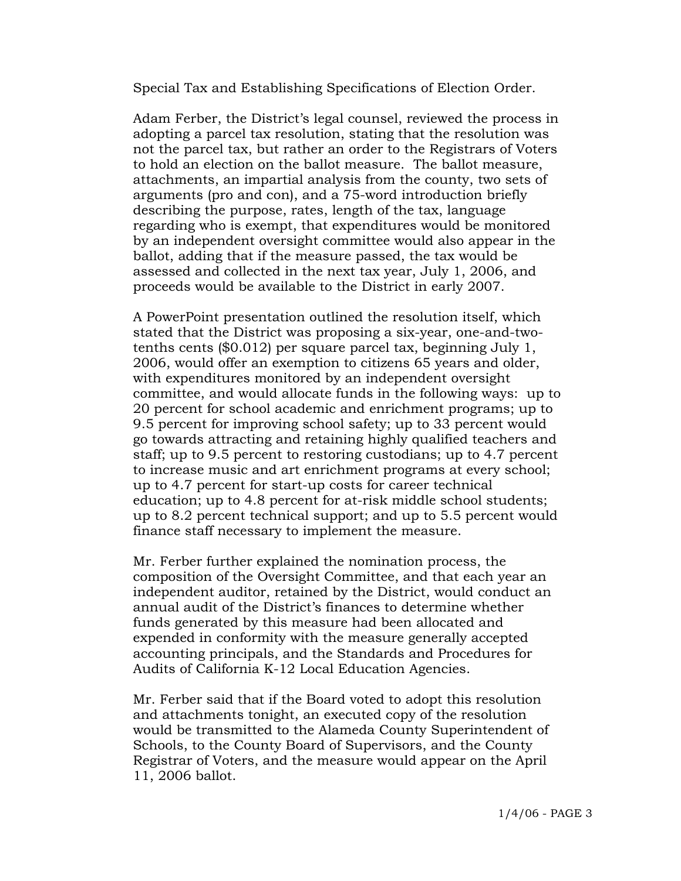Special Tax and Establishing Specifications of Election Order.

Adam Ferber, the District's legal counsel, reviewed the process in adopting a parcel tax resolution, stating that the resolution was not the parcel tax, but rather an order to the Registrars of Voters to hold an election on the ballot measure. The ballot measure, attachments, an impartial analysis from the county, two sets of arguments (pro and con), and a 75-word introduction briefly describing the purpose, rates, length of the tax, language regarding who is exempt, that expenditures would be monitored by an independent oversight committee would also appear in the ballot, adding that if the measure passed, the tax would be assessed and collected in the next tax year, July 1, 2006, and proceeds would be available to the District in early 2007.

A PowerPoint presentation outlined the resolution itself, which stated that the District was proposing a six-year, one-and-twotenths cents (\$0.012) per square parcel tax, beginning July 1, 2006, would offer an exemption to citizens 65 years and older, with expenditures monitored by an independent oversight committee, and would allocate funds in the following ways: up to 20 percent for school academic and enrichment programs; up to 9.5 percent for improving school safety; up to 33 percent would go towards attracting and retaining highly qualified teachers and staff; up to 9.5 percent to restoring custodians; up to 4.7 percent to increase music and art enrichment programs at every school; up to 4.7 percent for start-up costs for career technical education; up to 4.8 percent for at-risk middle school students; up to 8.2 percent technical support; and up to 5.5 percent would finance staff necessary to implement the measure.

Mr. Ferber further explained the nomination process, the composition of the Oversight Committee, and that each year an independent auditor, retained by the District, would conduct an annual audit of the District's finances to determine whether funds generated by this measure had been allocated and expended in conformity with the measure generally accepted accounting principals, and the Standards and Procedures for Audits of California K-12 Local Education Agencies.

Mr. Ferber said that if the Board voted to adopt this resolution and attachments tonight, an executed copy of the resolution would be transmitted to the Alameda County Superintendent of Schools, to the County Board of Supervisors, and the County Registrar of Voters, and the measure would appear on the April 11, 2006 ballot.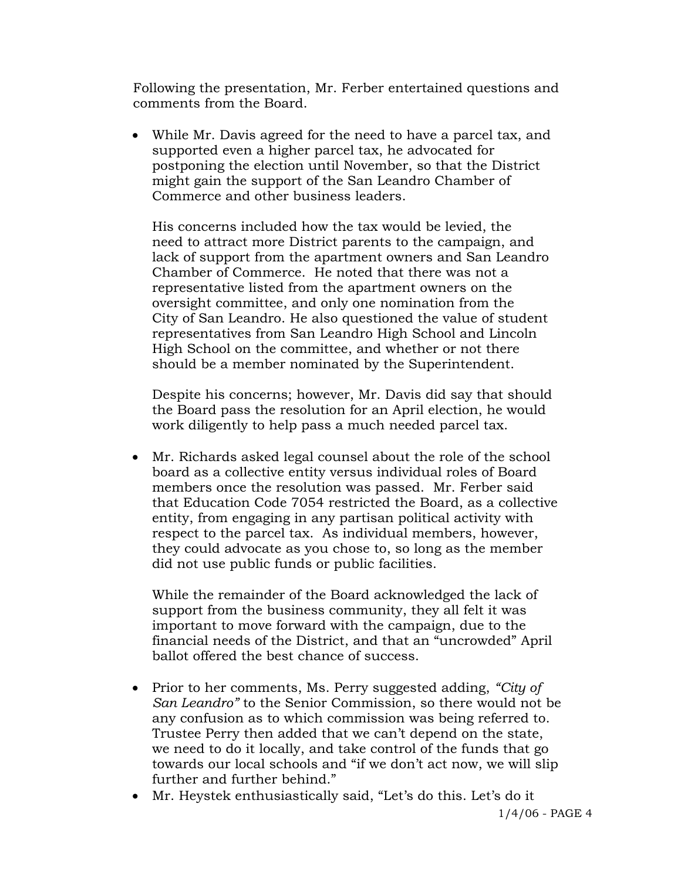Following the presentation, Mr. Ferber entertained questions and comments from the Board.

• While Mr. Davis agreed for the need to have a parcel tax, and supported even a higher parcel tax, he advocated for postponing the election until November, so that the District might gain the support of the San Leandro Chamber of Commerce and other business leaders.

 His concerns included how the tax would be levied, the need to attract more District parents to the campaign, and lack of support from the apartment owners and San Leandro Chamber of Commerce. He noted that there was not a representative listed from the apartment owners on the oversight committee, and only one nomination from the City of San Leandro. He also questioned the value of student representatives from San Leandro High School and Lincoln High School on the committee, and whether or not there should be a member nominated by the Superintendent.

 Despite his concerns; however, Mr. Davis did say that should the Board pass the resolution for an April election, he would work diligently to help pass a much needed parcel tax.

• Mr. Richards asked legal counsel about the role of the school board as a collective entity versus individual roles of Board members once the resolution was passed. Mr. Ferber said that Education Code 7054 restricted the Board, as a collective entity, from engaging in any partisan political activity with respect to the parcel tax. As individual members, however, they could advocate as you chose to, so long as the member did not use public funds or public facilities.

 While the remainder of the Board acknowledged the lack of support from the business community, they all felt it was important to move forward with the campaign, due to the financial needs of the District, and that an "uncrowded" April ballot offered the best chance of success.

- Prior to her comments, Ms. Perry suggested adding, *"City of San Leandro"* to the Senior Commission, so there would not be any confusion as to which commission was being referred to. Trustee Perry then added that we can't depend on the state, we need to do it locally, and take control of the funds that go towards our local schools and "if we don't act now, we will slip further and further behind."
- Mr. Heystek enthusiastically said, "Let's do this. Let's do it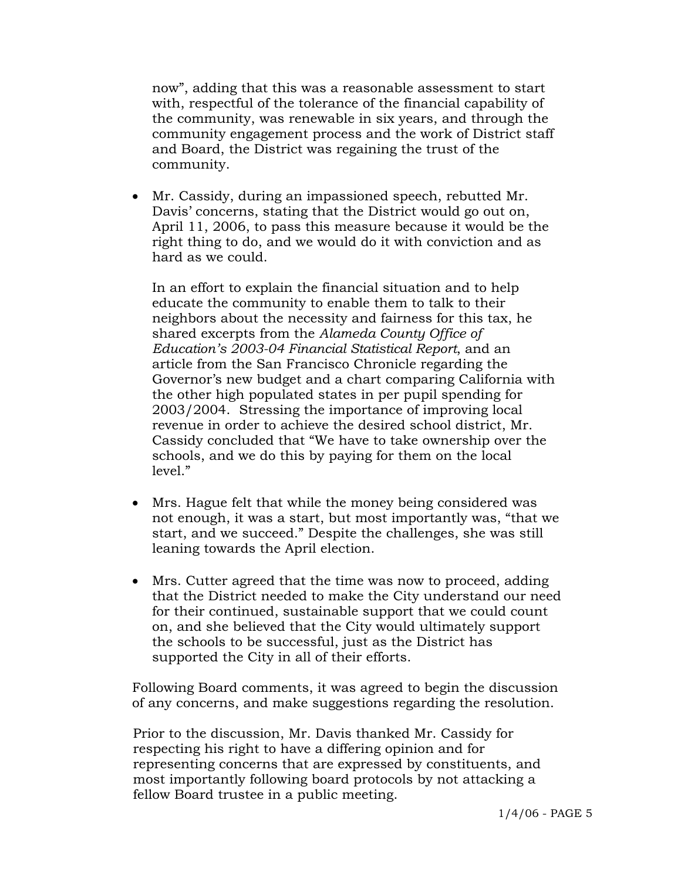now", adding that this was a reasonable assessment to start with, respectful of the tolerance of the financial capability of the community, was renewable in six years, and through the community engagement process and the work of District staff and Board, the District was regaining the trust of the community.

• Mr. Cassidy, during an impassioned speech, rebutted Mr. Davis' concerns, stating that the District would go out on, April 11, 2006, to pass this measure because it would be the right thing to do, and we would do it with conviction and as hard as we could.

 In an effort to explain the financial situation and to help educate the community to enable them to talk to their neighbors about the necessity and fairness for this tax, he shared excerpts from the *Alameda County Office of Education's 2003-04 Financial Statistical Report*, and an article from the San Francisco Chronicle regarding the Governor's new budget and a chart comparing California with the other high populated states in per pupil spending for 2003/2004. Stressing the importance of improving local revenue in order to achieve the desired school district, Mr. Cassidy concluded that "We have to take ownership over the schools, and we do this by paying for them on the local level."

- Mrs. Hague felt that while the money being considered was not enough, it was a start, but most importantly was, "that we start, and we succeed." Despite the challenges, she was still leaning towards the April election.
- Mrs. Cutter agreed that the time was now to proceed, adding that the District needed to make the City understand our need for their continued, sustainable support that we could count on, and she believed that the City would ultimately support the schools to be successful, just as the District has supported the City in all of their efforts.

Following Board comments, it was agreed to begin the discussion of any concerns, and make suggestions regarding the resolution.

Prior to the discussion, Mr. Davis thanked Mr. Cassidy for respecting his right to have a differing opinion and for representing concerns that are expressed by constituents, and most importantly following board protocols by not attacking a fellow Board trustee in a public meeting.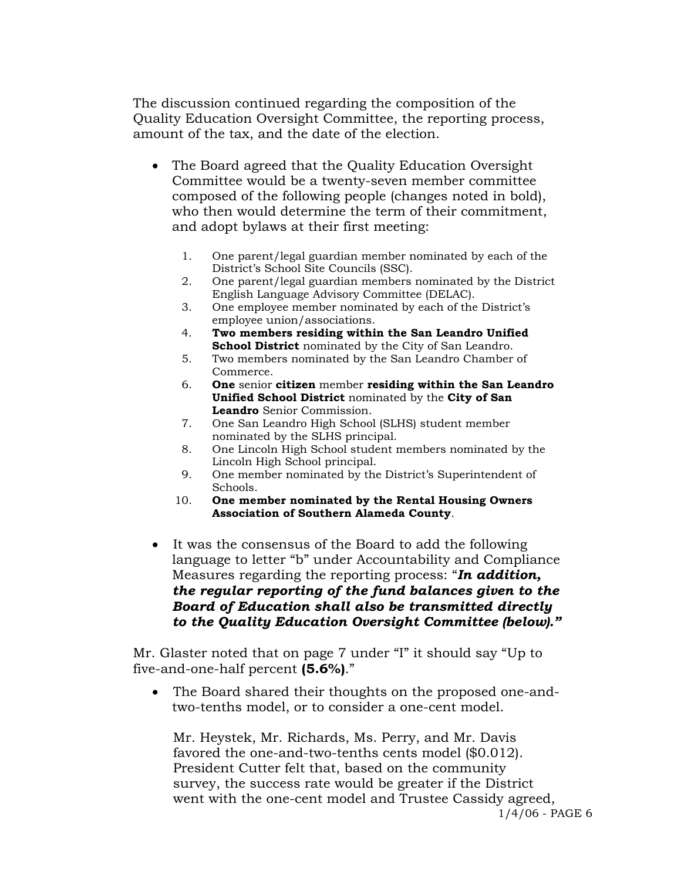The discussion continued regarding the composition of the Quality Education Oversight Committee, the reporting process, amount of the tax, and the date of the election.

- The Board agreed that the Quality Education Oversight Committee would be a twenty-seven member committee composed of the following people (changes noted in bold), who then would determine the term of their commitment, and adopt bylaws at their first meeting:
	- 1. One parent/legal guardian member nominated by each of the District's School Site Councils (SSC).
	- 2. One parent/legal guardian members nominated by the District English Language Advisory Committee (DELAC).
	- 3. One employee member nominated by each of the District's employee union/associations.
	- 4. **Two members residing within the San Leandro Unified School District** nominated by the City of San Leandro.
	- 5. Two members nominated by the San Leandro Chamber of Commerce.
	- 6. **One** senior **citizen** member **residing within the San Leandro Unified School District** nominated by the **City of San Leandro** Senior Commission.
	- 7. One San Leandro High School (SLHS) student member nominated by the SLHS principal.
	- 8. One Lincoln High School student members nominated by the Lincoln High School principal.
	- 9. One member nominated by the District's Superintendent of Schools.
	- 10. **One member nominated by the Rental Housing Owners Association of Southern Alameda County**.
- It was the consensus of the Board to add the following language to letter "b" under Accountability and Compliance Measures regarding the reporting process: "*In addition, the regular reporting of the fund balances given to the Board of Education shall also be transmitted directly to the Quality Education Oversight Committee (below)."*

Mr. Glaster noted that on page 7 under "I" it should say "Up to five-and-one-half percent **(5.6%)**."

• The Board shared their thoughts on the proposed one-andtwo-tenths model, or to consider a one-cent model.

1/4/06 - PAGE 6 Mr. Heystek, Mr. Richards, Ms. Perry, and Mr. Davis favored the one-and-two-tenths cents model (\$0.012). President Cutter felt that, based on the community survey, the success rate would be greater if the District went with the one-cent model and Trustee Cassidy agreed,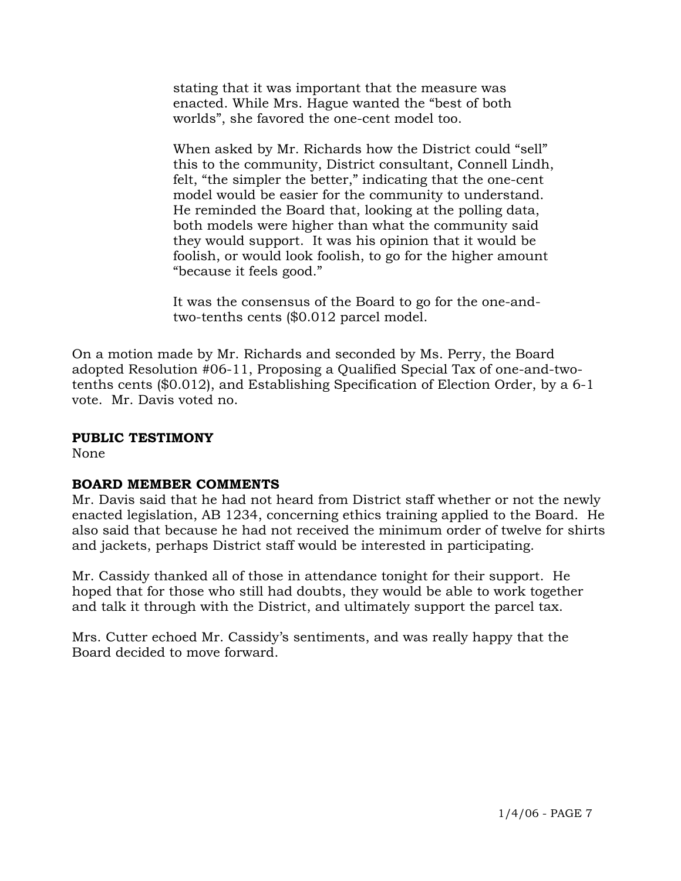stating that it was important that the measure was enacted. While Mrs. Hague wanted the "best of both worlds", she favored the one-cent model too.

 When asked by Mr. Richards how the District could "sell" this to the community, District consultant, Connell Lindh, felt, "the simpler the better," indicating that the one-cent model would be easier for the community to understand. He reminded the Board that, looking at the polling data, both models were higher than what the community said they would support. It was his opinion that it would be foolish, or would look foolish, to go for the higher amount "because it feels good."

 It was the consensus of the Board to go for the one-and two-tenths cents (\$0.012 parcel model.

On a motion made by Mr. Richards and seconded by Ms. Perry, the Board adopted Resolution #06-11, Proposing a Qualified Special Tax of one-and-twotenths cents (\$0.012), and Establishing Specification of Election Order, by a 6-1 vote. Mr. Davis voted no.

## **PUBLIC TESTIMONY**

None

# **BOARD MEMBER COMMENTS**

Mr. Davis said that he had not heard from District staff whether or not the newly enacted legislation, AB 1234, concerning ethics training applied to the Board. He also said that because he had not received the minimum order of twelve for shirts and jackets, perhaps District staff would be interested in participating.

Mr. Cassidy thanked all of those in attendance tonight for their support. He hoped that for those who still had doubts, they would be able to work together and talk it through with the District, and ultimately support the parcel tax.

Mrs. Cutter echoed Mr. Cassidy's sentiments, and was really happy that the Board decided to move forward.